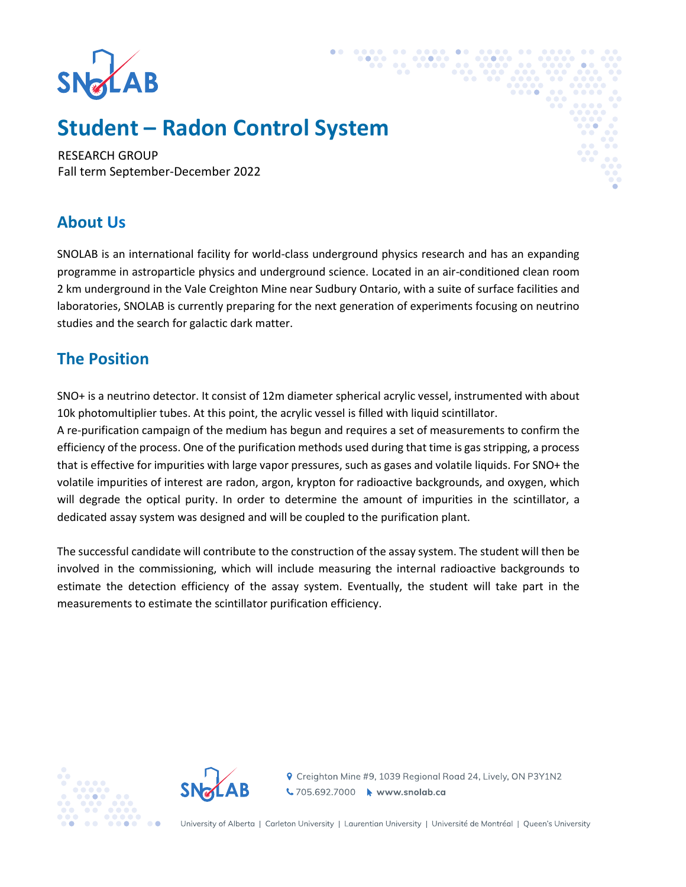

# **Student – Radon Control System**

RESEARCH GROUP Fall term September-December 2022

### **About Us**

SNOLAB is an international facility for world-class underground physics research and has an expanding programme in astroparticle physics and underground science. Located in an air-conditioned clean room 2 km underground in the Vale Creighton Mine near Sudbury Ontario, with a suite of surface facilities and laboratories, SNOLAB is currently preparing for the next generation of experiments focusing on neutrino studies and the search for galactic dark matter.

## **The Position**

SNO+ is a neutrino detector. It consist of 12m diameter spherical acrylic vessel, instrumented with about 10k photomultiplier tubes. At this point, the acrylic vessel is filled with liquid scintillator.

A re-purification campaign of the medium has begun and requires a set of measurements to confirm the efficiency of the process. One of the purification methods used during that time is gas stripping, a process that is effective for impurities with large vapor pressures, such as gases and volatile liquids. For SNO+ the volatile impurities of interest are radon, argon, krypton for radioactive backgrounds, and oxygen, which will degrade the optical purity. In order to determine the amount of impurities in the scintillator, a dedicated assay system was designed and will be coupled to the purification plant.

The successful candidate will contribute to the construction of the assay system. The student will then be involved in the commissioning, which will include measuring the internal radioactive backgrounds to estimate the detection efficiency of the assay system. Eventually, the student will take part in the measurements to estimate the scintillator purification efficiency.





**የ** Creighton Mine #9, 1039 Regional Road 24, Lively, ON P3Y1N2 ↓705.692.7000 → www.snolab.ca

University of Alberta | Carleton University | Laurentian University | Université de Montréal | Queen's University